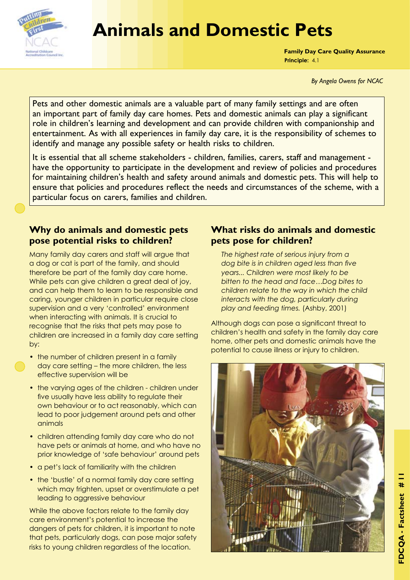

# **Animals and Domestic Pets**

**Family Day Care Quality Assurance Principle:** 4.1

*By Angela Owens for NCAC*

Pets and other domestic animals are a valuable part of many family settings and are often an important part of family day care homes. Pets and domestic animals can play a significant role in children's learning and development and can provide children with companionship and entertainment. As with all experiences in family day care, it is the responsibility of schemes to identify and manage any possible safety or health risks to children.

It is essential that all scheme stakeholders - children, families, carers, staff and management have the opportunity to participate in the development and review of policies and procedures for maintaining children's health and safety around animals and domestic pets. This will help to ensure that policies and procedures reflect the needs and circumstances of the scheme, with a particular focus on carers, families and children.

# **Why do animals and domestic pets pose potential risks to children?**

Many family day carers and staff will argue that a dog or cat is part of the family, and should therefore be part of the family day care home. While pets can give children a great deal of joy, and can help them to learn to be responsible and caring, younger children in particular require close supervision and a very 'controlled' environment when interacting with animals. It is crucial to recognise that the risks that pets may pose to children are increased in a family day care setting by:

- the number of children present in a family day care setting – the more children, the less effective supervision will be
- the varying ages of the children children under five usually have less ability to regulate their own behaviour or to act reasonably, which can lead to poor judgement around pets and other animals
- children attending family day care who do not have pets or animals at home, and who have no prior knowledge of 'safe behaviour' around pets
- a pet's lack of familiarity with the children
- the 'bustle' of a normal family day care setting which may frighten, upset or overstimulate a pet leading to aggressive behaviour

While the above factors relate to the family day care environment's potential to increase the dangers of pets for children, it is important to note that pets, particularly dogs, can pose major safety risks to young children regardless of the location.

# **What risks do animals and domestic pets pose for children?**

*The highest rate of serious injury from a dog bite is in children aged less than five years... Children were most likely to be bitten to the head and face…Dog bites to children relate to the way in which the child interacts with the dog, particularly during play and feeding times.* (Ashby, 2001)

Although dogs can pose a significant threat to children's health and safety in the family day care home, other pets and domestic animals have the potential to cause illness or injury to children.

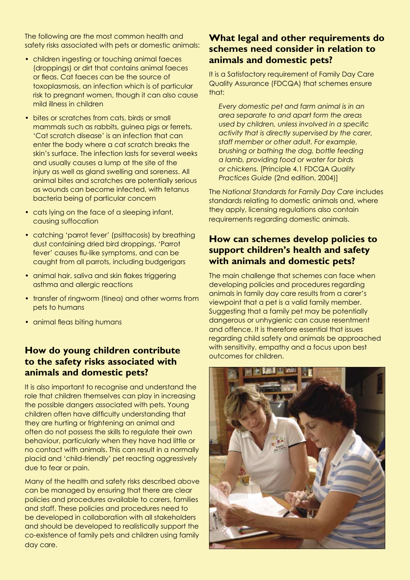The following are the most common health and safety risks associated with pets or domestic animals:

- children ingesting or touching animal faeces (droppings) or dirt that contains animal faeces or fleas. Cat faeces can be the source of toxoplasmosis, an infection which is of particular risk to pregnant women, though it can also cause mild illness in children
- bites or scratches from cats, birds or small mammals such as rabbits, guinea pigs or ferrets. 'Cat scratch disease' is an infection that can enter the body where a cat scratch breaks the skin's surface. The infection lasts for several weeks and usually causes a lump at the site of the injury as well as gland swelling and soreness. All animal bites and scratches are potentially serious as wounds can become infected, with tetanus bacteria being of particular concern
- cats lying on the face of a sleeping infant, causing suffocation
- catching 'parrot fever' (psittacosis) by breathing dust containing dried bird droppings. 'Parrot fever' causes flu-like symptoms, and can be caught from all parrots, including budgerigars
- animal hair, saliva and skin flakes triggering asthma and allergic reactions
- transfer of ringworm (tinea) and other worms from pets to humans
- animal fleas biting humans

## **How do young children contribute to the safety risks associated with animals and domestic pets?**

It is also important to recognise and understand the role that children themselves can play in increasing the possible dangers associated with pets. Young children often have difficulty understanding that they are hurting or frightening an animal and often do not possess the skills to regulate their own behaviour, particularly when they have had little or no contact with animals. This can result in a normally placid and 'child-friendly' pet reacting aggressively due to fear or pain.

Many of the health and safety risks described above can be managed by ensuring that there are clear policies and procedures available to carers, families and staff. These policies and procedures need to be developed in collaboration with all stakeholders and should be developed to realistically support the co-existence of family pets and children using family day care.

#### **What legal and other requirements do schemes need consider in relation to animals and domestic pets?**

It is a Satisfactory requirement of Family Day Care Quality Assurance (FDCQA) that schemes ensure that:

*Every domestic pet and farm animal is in an area separate to and apart form the areas used by children, unless involved in a specific activity that is directly supervised by the carer, staff member or other adult. For example, brushing or bathing the dog, bottle feeding a lamb, providing food or water for birds or chickens.* [Principle 4.1 FDCQA *Quality Practices Guide* (2nd edition, 2004)]

The *National Standards for Family Day Care* includes standards relating to domestic animals and, where they apply, licensing regulations also contain requirements regarding domestic animals.

#### **How can schemes develop policies to support children's health and safety with animals and domestic pets?**

The main challenge that schemes can face when developing policies and procedures regarding animals in family day care results from a carer's viewpoint that a pet is a valid family member. Suggesting that a family pet may be potentially dangerous or unhygienic can cause resentment and offence. It is therefore essential that issues regarding child safety and animals be approached with sensitivity, empathy and a focus upon best outcomes for children.

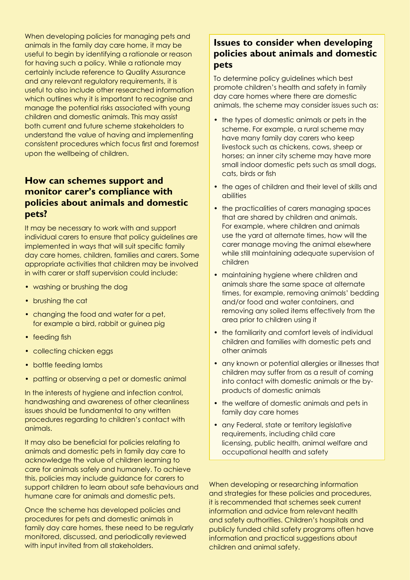When developing policies for managing pets and animals in the family day care home, it may be useful to begin by identifying a rationale or reason for having such a policy. While a rationale may certainly include reference to Quality Assurance and any relevant regulatory requirements, it is useful to also include other researched information which outlines why it is important to recognise and manage the potential risks associated with young children and domestic animals. This may assist both current and future scheme stakeholders to understand the value of having and implementing consistent procedures which focus first and foremost upon the wellbeing of children.

## **How can schemes support and monitor carer's compliance with policies about animals and domestic pets?**

It may be necessary to work with and support individual carers to ensure that policy guidelines are implemented in ways that will suit specific family day care homes, children, families and carers. Some appropriate activities that children may be involved in with carer or staff supervision could include:

- washing or brushing the dog
- brushing the cat
- changing the food and water for a pet, for example a bird, rabbit or guinea pig
- feeding fish
- collecting chicken eggs
- bottle feeding lambs
- patting or observing a pet or domestic animal

In the interests of hygiene and infection control, handwashing and awareness of other cleanliness issues should be fundamental to any written procedures regarding to children's contact with animals.

It may also be beneficial for policies relating to animals and domestic pets in family day care to acknowledge the value of children learning to care for animals safely and humanely. To achieve this, policies may include guidance for carers to support children to learn about safe behaviours and humane care for animals and domestic pets.

Once the scheme has developed policies and procedures for pets and domestic animals in family day care homes, these need to be regularly monitored, discussed, and periodically reviewed with input invited from all stakeholders.

# **Issues to consider when developing policies about animals and domestic pets**

To determine policy guidelines which best promote children's health and safety in family day care homes where there are domestic animals, the scheme may consider issues such as:

- the types of domestic animals or pets in the scheme. For example, a rural scheme may have many family day carers who keep livestock such as chickens, cows, sheep or horses; an inner city scheme may have more small indoor domestic pets such as small dogs, cats, birds or fish
- the ages of children and their level of skills and abilities
- the practicalities of carers managing spaces that are shared by children and animals. For example, where children and animals use the yard at alternate times, how will the carer manage moving the animal elsewhere while still maintaining adequate supervision of children
- maintaining hygiene where children and animals share the same space at alternate times, for example, removing animals' bedding and/or food and water containers, and removing any soiled items effectively from the area prior to children using it
- the familiarity and comfort levels of individual children and families with domestic pets and other animals
- any known or potential allergies or illnesses that children may suffer from as a result of coming into contact with domestic animals or the byproducts of domestic animals
- the welfare of domestic animals and pets in family day care homes
- any Federal, state or territory legislative requirements, including child care licensing, public health, animal welfare and occupational health and safety

When developing or researching information and strategies for these policies and procedures, it is recommended that schemes seek current information and advice from relevant health and safety authorities. Children's hospitals and publicly funded child safety programs often have information and practical suggestions about children and animal safety.